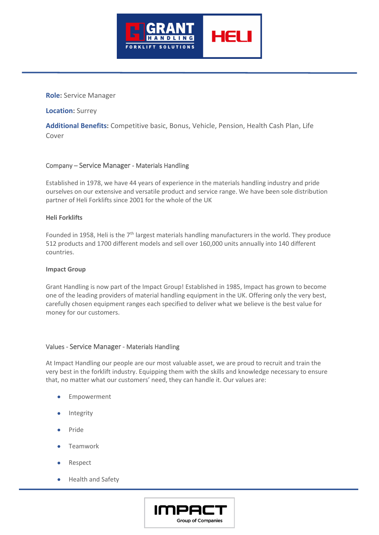

## **Role:** Service Manager

**Location:** Surrey

**Additional Benefits:** Competitive basic, Bonus, Vehicle, Pension, Health Cash Plan, Life Cover

# Company – Service Manager - Materials Handling

Established in 1978, we have 44 years of experience in the materials handling industry and pride ourselves on our extensive and versatile product and service range. We have been sole distribution partner of Heli Forklifts since 2001 for the whole of the UK

#### **Heli Forklifts**

Founded in 1958, Heli is the  $7<sup>th</sup>$  largest materials handling manufacturers in the world. They produce 512 products and 1700 different models and sell over 160,000 units annually into 140 different countries.

#### **Impact Group**

Grant Handling is now part of the Impact Group! Established in 1985, Impact has grown to become one of the leading providers of material handling equipment in the UK. Offering only the very best, carefully chosen equipment ranges each specified to deliver what we believe is the best value for money for our customers.

#### Values - Service Manager - Materials Handling

At Impact Handling our people are our most valuable asset, we are proud to recruit and train the very best in the forklift industry. Equipping them with the skills and knowledge necessary to ensure that, no matter what our customers' need, they can handle it. Our values are:

- **Empowerment**
- **Integrity**
- Pride
- Teamwork
- Respect
- Health and Safety

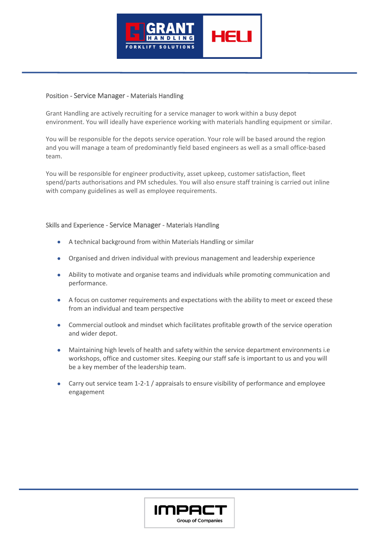

## Position - Service Manager - Materials Handling

Grant Handling are actively recruiting for a service manager to work within a busy depot environment. You will ideally have experience working with materials handling equipment or similar.

You will be responsible for the depots service operation. Your role will be based around the region and you will manage a team of predominantly field based engineers as well as a small office-based team.

You will be responsible for engineer productivity, asset upkeep, customer satisfaction, fleet spend/parts authorisations and PM schedules. You will also ensure staff training is carried out inline with company guidelines as well as employee requirements.

# Skills and Experience - Service Manager - Materials Handling

- A technical background from within Materials Handling or similar
- Organised and driven individual with previous management and leadership experience
- Ability to motivate and organise teams and individuals while promoting communication and performance.
- A focus on customer requirements and expectations with the ability to meet or exceed these from an individual and team perspective
- Commercial outlook and mindset which facilitates profitable growth of the service operation and wider depot.
- Maintaining high levels of health and safety within the service department environments i.e workshops, office and customer sites. Keeping our staff safe is important to us and you will be a key member of the leadership team.
- Carry out service team 1-2-1 / appraisals to ensure visibility of performance and employee engagement